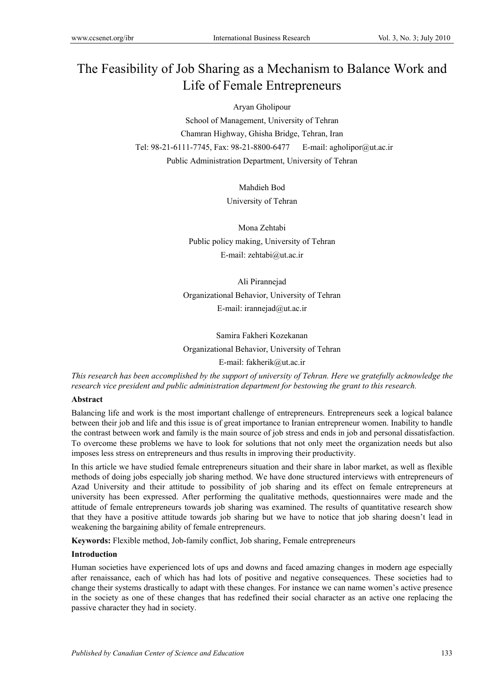# The Feasibility of Job Sharing as a Mechanism to Balance Work and Life of Female Entrepreneurs

Aryan Gholipour

School of Management, University of Tehran Chamran Highway, Ghisha Bridge, Tehran, Iran Tel: 98-21-6111-7745, Fax: 98-21-8800-6477 E-mail: agholipor@ut.ac.ir Public Administration Department, University of Tehran

> Mahdieh Bod University of Tehran

Mona Zehtabi Public policy making, University of Tehran E-mail: zehtabi@ut.ac.ir

Ali Pirannejad Organizational Behavior, University of Tehran E-mail: irannejad@ut.ac.ir

## Samira Fakheri Kozekanan Organizational Behavior, University of Tehran

E-mail: fakherik@ut.ac.ir

*This research has been accomplished by the support of university of Tehran. Here we gratefully acknowledge the research vice president and public administration department for bestowing the grant to this research.* 

#### **Abstract**

Balancing life and work is the most important challenge of entrepreneurs. Entrepreneurs seek a logical balance between their job and life and this issue is of great importance to Iranian entrepreneur women. Inability to handle the contrast between work and family is the main source of job stress and ends in job and personal dissatisfaction. To overcome these problems we have to look for solutions that not only meet the organization needs but also imposes less stress on entrepreneurs and thus results in improving their productivity.

In this article we have studied female entrepreneurs situation and their share in labor market, as well as flexible methods of doing jobs especially job sharing method. We have done structured interviews with entrepreneurs of Azad University and their attitude to possibility of job sharing and its effect on female entrepreneurs at university has been expressed. After performing the qualitative methods, questionnaires were made and the attitude of female entrepreneurs towards job sharing was examined. The results of quantitative research show that they have a positive attitude towards job sharing but we have to notice that job sharing doesn't lead in weakening the bargaining ability of female entrepreneurs.

**Keywords:** Flexible method, Job-family conflict, Job sharing, Female entrepreneurs

#### **Introduction**

Human societies have experienced lots of ups and downs and faced amazing changes in modern age especially after renaissance, each of which has had lots of positive and negative consequences. These societies had to change their systems drastically to adapt with these changes. For instance we can name women's active presence in the society as one of these changes that has redefined their social character as an active one replacing the passive character they had in society.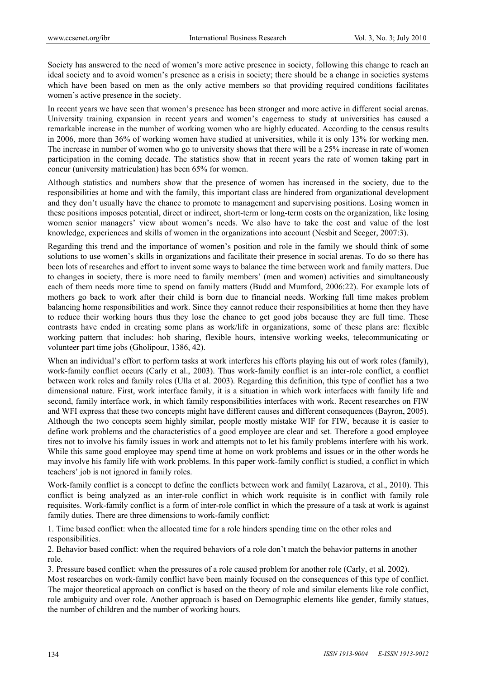Society has answered to the need of women's more active presence in society, following this change to reach an ideal society and to avoid women's presence as a crisis in society; there should be a change in societies systems which have been based on men as the only active members so that providing required conditions facilitates women's active presence in the society.

In recent years we have seen that women's presence has been stronger and more active in different social arenas. University training expansion in recent years and women's eagerness to study at universities has caused a remarkable increase in the number of working women who are highly educated. According to the census results in 2006, more than 36% of working women have studied at universities, while it is only 13% for working men. The increase in number of women who go to university shows that there will be a 25% increase in rate of women participation in the coming decade. The statistics show that in recent years the rate of women taking part in concur (university matriculation) has been 65% for women.

Although statistics and numbers show that the presence of women has increased in the society, due to the responsibilities at home and with the family, this important class are hindered from organizational development and they don't usually have the chance to promote to management and supervising positions. Losing women in these positions imposes potential, direct or indirect, short-term or long-term costs on the organization, like losing women senior managers' view about women's needs. We also have to take the cost and value of the lost knowledge, experiences and skills of women in the organizations into account (Nesbit and Seeger, 2007:3).

Regarding this trend and the importance of women's position and role in the family we should think of some solutions to use women's skills in organizations and facilitate their presence in social arenas. To do so there has been lots of researches and effort to invent some ways to balance the time between work and family matters. Due to changes in society, there is more need to family members' (men and women) activities and simultaneously each of them needs more time to spend on family matters (Budd and Mumford, 2006:22). For example lots of mothers go back to work after their child is born due to financial needs. Working full time makes problem balancing home responsibilities and work. Since they cannot reduce their responsibilities at home then they have to reduce their working hours thus they lose the chance to get good jobs because they are full time. These contrasts have ended in creating some plans as work/life in organizations, some of these plans are: flexible working pattern that includes: hob sharing, flexible hours, intensive working weeks, telecommunicating or volunteer part time jobs (Gholipour, 1386, 42).

When an individual's effort to perform tasks at work interferes his efforts playing his out of work roles (family), work-family conflict occurs (Carly et al., 2003). Thus work-family conflict is an inter-role conflict, a conflict between work roles and family roles (Ulla et al. 2003). Regarding this definition, this type of conflict has a two dimensional nature. First, work interface family, it is a situation in which work interfaces with family life and second, family interface work, in which family responsibilities interfaces with work. Recent researches on FIW and WFI express that these two concepts might have different causes and different consequences (Bayron, 2005). Although the two concepts seem highly similar, people mostly mistake WIF for FIW, because it is easier to define work problems and the characteristics of a good employee are clear and set. Therefore a good employee tires not to involve his family issues in work and attempts not to let his family problems interfere with his work. While this same good employee may spend time at home on work problems and issues or in the other words he may involve his family life with work problems. In this paper work-family conflict is studied, a conflict in which teachers' job is not ignored in family roles.

Work-family conflict is a concept to define the conflicts between work and family( Lazarova, et al., 2010). This conflict is being analyzed as an inter-role conflict in which work requisite is in conflict with family role requisites. Work-family conflict is a form of inter-role conflict in which the pressure of a task at work is against family duties. There are three dimensions to work-family conflict:

1. Time based conflict: when the allocated time for a role hinders spending time on the other roles and responsibilities.

2. Behavior based conflict: when the required behaviors of a role don't match the behavior patterns in another role.

3. Pressure based conflict: when the pressures of a role caused problem for another role (Carly, et al. 2002).

Most researches on work-family conflict have been mainly focused on the consequences of this type of conflict. The major theoretical approach on conflict is based on the theory of role and similar elements like role conflict, role ambiguity and over role. Another approach is based on Demographic elements like gender, family statues, the number of children and the number of working hours.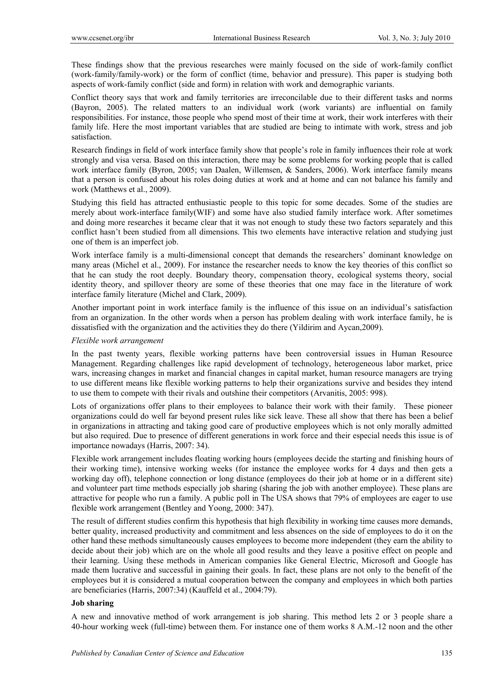These findings show that the previous researches were mainly focused on the side of work-family conflict (work-family/family-work) or the form of conflict (time, behavior and pressure). This paper is studying both aspects of work-family conflict (side and form) in relation with work and demographic variants.

Conflict theory says that work and family territories are irreconcilable due to their different tasks and norms (Bayron, 2005). The related matters to an individual work (work variants) are influential on family responsibilities. For instance, those people who spend most of their time at work, their work interferes with their family life. Here the most important variables that are studied are being to intimate with work, stress and job satisfaction.

Research findings in field of work interface family show that people's role in family influences their role at work strongly and visa versa. Based on this interaction, there may be some problems for working people that is called work interface family (Byron, 2005; van Daalen, Willemsen, & Sanders, 2006). Work interface family means that a person is confused about his roles doing duties at work and at home and can not balance his family and work (Matthews et al., 2009).

Studying this field has attracted enthusiastic people to this topic for some decades. Some of the studies are merely about work-interface family(WIF) and some have also studied family interface work. After sometimes and doing more researches it became clear that it was not enough to study these two factors separately and this conflict hasn't been studied from all dimensions. This two elements have interactive relation and studying just one of them is an imperfect job.

Work interface family is a multi-dimensional concept that demands the researchers' dominant knowledge on many areas (Michel et al., 2009). For instance the researcher needs to know the key theories of this conflict so that he can study the root deeply. Boundary theory, compensation theory, ecological systems theory, social identity theory, and spillover theory are some of these theories that one may face in the literature of work interface family literature (Michel and Clark, 2009).

Another important point in work interface family is the influence of this issue on an individual's satisfaction from an organization. In the other words when a person has problem dealing with work interface family, he is dissatisfied with the organization and the activities they do there (Yildirim and Aycan,2009).

#### *Flexible work arrangement*

In the past twenty years, flexible working patterns have been controversial issues in Human Resource Management. Regarding challenges like rapid development of technology, heterogeneous labor market, price wars, increasing changes in market and financial changes in capital market, human resource managers are trying to use different means like flexible working patterns to help their organizations survive and besides they intend to use them to compete with their rivals and outshine their competitors (Arvanitis, 2005: 998).

Lots of organizations offer plans to their employees to balance their work with their family. These pioneer organizations could do well far beyond present rules like sick leave. These all show that there has been a belief in organizations in attracting and taking good care of productive employees which is not only morally admitted but also required. Due to presence of different generations in work force and their especial needs this issue is of importance nowadays (Harris, 2007: 34).

Flexible work arrangement includes floating working hours (employees decide the starting and finishing hours of their working time), intensive working weeks (for instance the employee works for 4 days and then gets a working day off), telephone connection or long distance (employees do their job at home or in a different site) and volunteer part time methods especially job sharing (sharing the job with another employee). These plans are attractive for people who run a family. A public poll in The USA shows that 79% of employees are eager to use flexible work arrangement (Bentley and Yoong, 2000: 347).

The result of different studies confirm this hypothesis that high flexibility in working time causes more demands, better quality, increased productivity and commitment and less absences on the side of employees to do it on the other hand these methods simultaneously causes employees to become more independent (they earn the ability to decide about their job) which are on the whole all good results and they leave a positive effect on people and their learning. Using these methods in American companies like General Electric, Microsoft and Google has made them lucrative and successful in gaining their goals. In fact, these plans are not only to the benefit of the employees but it is considered a mutual cooperation between the company and employees in which both parties are beneficiaries (Harris, 2007:34) (Kauffeld et al., 2004:79).

#### **Job sharing**

A new and innovative method of work arrangement is job sharing. This method lets 2 or 3 people share a 40-hour working week (full-time) between them. For instance one of them works 8 A.M.-12 noon and the other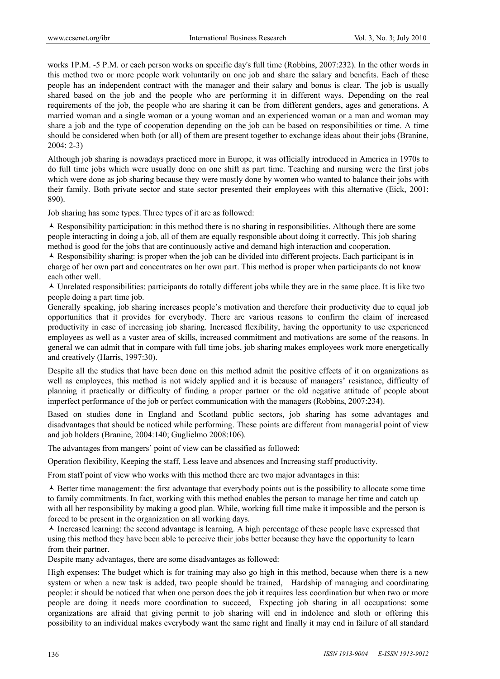works 1P.M. -5 P.M. or each person works on specific day's full time (Robbins, 2007:232). In the other words in this method two or more people work voluntarily on one job and share the salary and benefits. Each of these people has an independent contract with the manager and their salary and bonus is clear. The job is usually shared based on the job and the people who are performing it in different ways. Depending on the real requirements of the job, the people who are sharing it can be from different genders, ages and generations. A married woman and a single woman or a young woman and an experienced woman or a man and woman may share a job and the type of cooperation depending on the job can be based on responsibilities or time. A time should be considered when both (or all) of them are present together to exchange ideas about their jobs (Branine, 2004: 2-3)

Although job sharing is nowadays practiced more in Europe, it was officially introduced in America in 1970s to do full time jobs which were usually done on one shift as part time. Teaching and nursing were the first jobs which were done as job sharing because they were mostly done by women who wanted to balance their jobs with their family. Both private sector and state sector presented their employees with this alternative (Eick, 2001: 890).

Job sharing has some types. Three types of it are as followed:

 $\blacktriangle$  Responsibility participation: in this method there is no sharing in responsibilities. Although there are some people interacting in doing a job, all of them are equally responsible about doing it correctly. This job sharing method is good for the jobs that are continuously active and demand high interaction and cooperation.

 $\blacktriangle$  Responsibility sharing: is proper when the job can be divided into different projects. Each participant is in charge of her own part and concentrates on her own part. This method is proper when participants do not know each other well.

 $\triangle$  Unrelated responsibilities: participants do totally different jobs while they are in the same place. It is like two people doing a part time job.

Generally speaking, job sharing increases people's motivation and therefore their productivity due to equal job opportunities that it provides for everybody. There are various reasons to confirm the claim of increased productivity in case of increasing job sharing. Increased flexibility, having the opportunity to use experienced employees as well as a vaster area of skills, increased commitment and motivations are some of the reasons. In general we can admit that in compare with full time jobs, job sharing makes employees work more energetically and creatively (Harris, 1997:30).

Despite all the studies that have been done on this method admit the positive effects of it on organizations as well as employees, this method is not widely applied and it is because of managers' resistance, difficulty of planning it practically or difficulty of finding a proper partner or the old negative attitude of people about imperfect performance of the job or perfect communication with the managers (Robbins, 2007:234).

Based on studies done in England and Scotland public sectors, job sharing has some advantages and disadvantages that should be noticed while performing. These points are different from managerial point of view and job holders (Branine, 2004:140; Guglielmo 2008:106).

The advantages from mangers' point of view can be classified as followed:

Operation flexibility, Keeping the staff, Less leave and absences and Increasing staff productivity.

From staff point of view who works with this method there are two major advantages in this:

 $\blacktriangle$  Better time management: the first advantage that everybody points out is the possibility to allocate some time to family commitments. In fact, working with this method enables the person to manage her time and catch up with all her responsibility by making a good plan. While, working full time make it impossible and the person is forced to be present in the organization on all working days.

 $\blacktriangle$  Increased learning: the second advantage is learning. A high percentage of these people have expressed that using this method they have been able to perceive their jobs better because they have the opportunity to learn from their partner.

Despite many advantages, there are some disadvantages as followed:

High expenses: The budget which is for training may also go high in this method, because when there is a new system or when a new task is added, two people should be trained, Hardship of managing and coordinating people: it should be noticed that when one person does the job it requires less coordination but when two or more people are doing it needs more coordination to succeed, Expecting job sharing in all occupations: some organizations are afraid that giving permit to job sharing will end in indolence and sloth or offering this possibility to an individual makes everybody want the same right and finally it may end in failure of all standard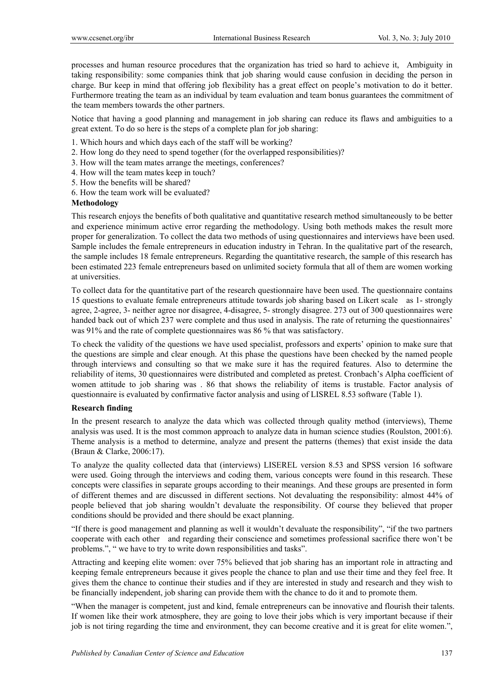processes and human resource procedures that the organization has tried so hard to achieve it, Ambiguity in taking responsibility: some companies think that job sharing would cause confusion in deciding the person in charge. Bur keep in mind that offering job flexibility has a great effect on people's motivation to do it better. Furthermore treating the team as an individual by team evaluation and team bonus guarantees the commitment of the team members towards the other partners.

Notice that having a good planning and management in job sharing can reduce its flaws and ambiguities to a great extent. To do so here is the steps of a complete plan for job sharing:

- 1. Which hours and which days each of the staff will be working?
- 2. How long do they need to spend together (for the overlapped responsibilities)?
- 3. How will the team mates arrange the meetings, conferences?
- 4. How will the team mates keep in touch?
- 5. How the benefits will be shared?
- 6. How the team work will be evaluated?

### **Methodology**

This research enjoys the benefits of both qualitative and quantitative research method simultaneously to be better and experience minimum active error regarding the methodology. Using both methods makes the result more proper for generalization. To collect the data two methods of using questionnaires and interviews have been used. Sample includes the female entrepreneurs in education industry in Tehran. In the qualitative part of the research, the sample includes 18 female entrepreneurs. Regarding the quantitative research, the sample of this research has been estimated 223 female entrepreneurs based on unlimited society formula that all of them are women working at universities.

To collect data for the quantitative part of the research questionnaire have been used. The questionnaire contains 15 questions to evaluate female entrepreneurs attitude towards job sharing based on Likert scale as 1- strongly agree, 2-agree, 3- neither agree nor disagree, 4-disagree, 5- strongly disagree. 273 out of 300 questionnaires were handed back out of which 237 were complete and thus used in analysis. The rate of returning the questionnaires' was 91% and the rate of complete questionnaires was 86 % that was satisfactory.

To check the validity of the questions we have used specialist, professors and experts' opinion to make sure that the questions are simple and clear enough. At this phase the questions have been checked by the named people through interviews and consulting so that we make sure it has the required features. Also to determine the reliability of items, 30 questionnaires were distributed and completed as pretest. Cronbach's Alpha coefficient of women attitude to job sharing was . 86 that shows the reliability of items is trustable. Factor analysis of questionnaire is evaluated by confirmative factor analysis and using of LISREL 8.53 software (Table 1).

#### **Research finding**

In the present research to analyze the data which was collected through quality method (interviews), Theme analysis was used. It is the most common approach to analyze data in human science studies (Roulston, 2001:6). Theme analysis is a method to determine, analyze and present the patterns (themes) that exist inside the data (Braun & Clarke, 2006:17).

To analyze the quality collected data that (interviews) LISEREL version 8.53 and SPSS version 16 software were used. Going through the interviews and coding them, various concepts were found in this research. These concepts were classifies in separate groups according to their meanings. And these groups are presented in form of different themes and are discussed in different sections. Not devaluating the responsibility: almost 44% of people believed that job sharing wouldn't devaluate the responsibility. Of course they believed that proper conditions should be provided and there should be exact planning.

"If there is good management and planning as well it wouldn't devaluate the responsibility", "if the two partners cooperate with each other and regarding their conscience and sometimes professional sacrifice there won't be problems.", " we have to try to write down responsibilities and tasks".

Attracting and keeping elite women: over 75% believed that job sharing has an important role in attracting and keeping female entrepreneurs because it gives people the chance to plan and use their time and they feel free. It gives them the chance to continue their studies and if they are interested in study and research and they wish to be financially independent, job sharing can provide them with the chance to do it and to promote them.

"When the manager is competent, just and kind, female entrepreneurs can be innovative and flourish their talents. If women like their work atmosphere, they are going to love their jobs which is very important because if their job is not tiring regarding the time and environment, they can become creative and it is great for elite women.",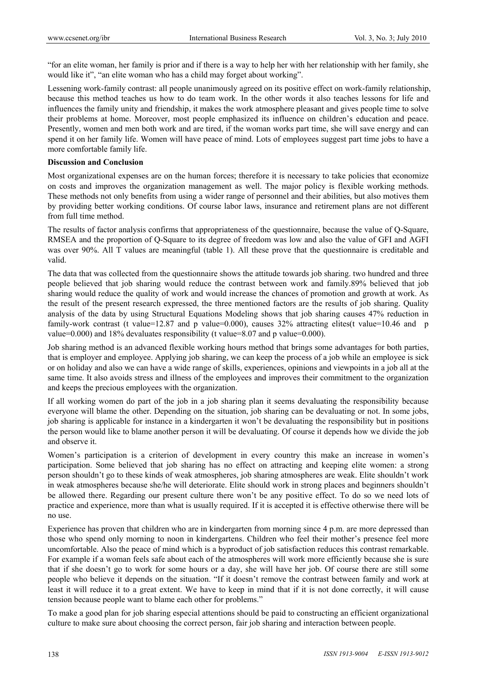"for an elite woman, her family is prior and if there is a way to help her with her relationship with her family, she would like it", "an elite woman who has a child may forget about working".

Lessening work-family contrast: all people unanimously agreed on its positive effect on work-family relationship, because this method teaches us how to do team work. In the other words it also teaches lessons for life and influences the family unity and friendship, it makes the work atmosphere pleasant and gives people time to solve their problems at home. Moreover, most people emphasized its influence on children's education and peace. Presently, women and men both work and are tired, if the woman works part time, she will save energy and can spend it on her family life. Women will have peace of mind. Lots of employees suggest part time jobs to have a more comfortable family life.

#### **Discussion and Conclusion**

Most organizational expenses are on the human forces; therefore it is necessary to take policies that economize on costs and improves the organization management as well. The major policy is flexible working methods. These methods not only benefits from using a wider range of personnel and their abilities, but also motives them by providing better working conditions. Of course labor laws, insurance and retirement plans are not different from full time method.

The results of factor analysis confirms that appropriateness of the questionnaire, because the value of Q-Square, RMSEA and the proportion of Q-Square to its degree of freedom was low and also the value of GFI and AGFI was over 90%. All T values are meaningful (table 1). All these prove that the questionnaire is creditable and valid.

The data that was collected from the questionnaire shows the attitude towards job sharing. two hundred and three people believed that job sharing would reduce the contrast between work and family.89% believed that job sharing would reduce the quality of work and would increase the chances of promotion and growth at work. As the result of the present research expressed, the three mentioned factors are the results of job sharing. Quality analysis of the data by using Structural Equations Modeling shows that job sharing causes 47% reduction in family-work contrast (t value=12.87 and p value=0.000), causes 32% attracting elites(t value=10.46 and p value=0.000) and 18% devaluates responsibility (t value=8.07 and p value=0.000).

Job sharing method is an advanced flexible working hours method that brings some advantages for both parties, that is employer and employee. Applying job sharing, we can keep the process of a job while an employee is sick or on holiday and also we can have a wide range of skills, experiences, opinions and viewpoints in a job all at the same time. It also avoids stress and illness of the employees and improves their commitment to the organization and keeps the precious employees with the organization.

If all working women do part of the job in a job sharing plan it seems devaluating the responsibility because everyone will blame the other. Depending on the situation, job sharing can be devaluating or not. In some jobs, job sharing is applicable for instance in a kindergarten it won't be devaluating the responsibility but in positions the person would like to blame another person it will be devaluating. Of course it depends how we divide the job and observe it.

Women's participation is a criterion of development in every country this make an increase in women's participation. Some believed that job sharing has no effect on attracting and keeping elite women: a strong person shouldn't go to these kinds of weak atmospheres, job sharing atmospheres are weak. Elite shouldn't work in weak atmospheres because she/he will deteriorate. Elite should work in strong places and beginners shouldn't be allowed there. Regarding our present culture there won't be any positive effect. To do so we need lots of practice and experience, more than what is usually required. If it is accepted it is effective otherwise there will be no use.

Experience has proven that children who are in kindergarten from morning since 4 p.m. are more depressed than those who spend only morning to noon in kindergartens. Children who feel their mother's presence feel more uncomfortable. Also the peace of mind which is a byproduct of job satisfaction reduces this contrast remarkable. For example if a woman feels safe about each of the atmospheres will work more efficiently because she is sure that if she doesn't go to work for some hours or a day, she will have her job. Of course there are still some people who believe it depends on the situation. "If it doesn't remove the contrast between family and work at least it will reduce it to a great extent. We have to keep in mind that if it is not done correctly, it will cause tension because people want to blame each other for problems."

To make a good plan for job sharing especial attentions should be paid to constructing an efficient organizational culture to make sure about choosing the correct person, fair job sharing and interaction between people.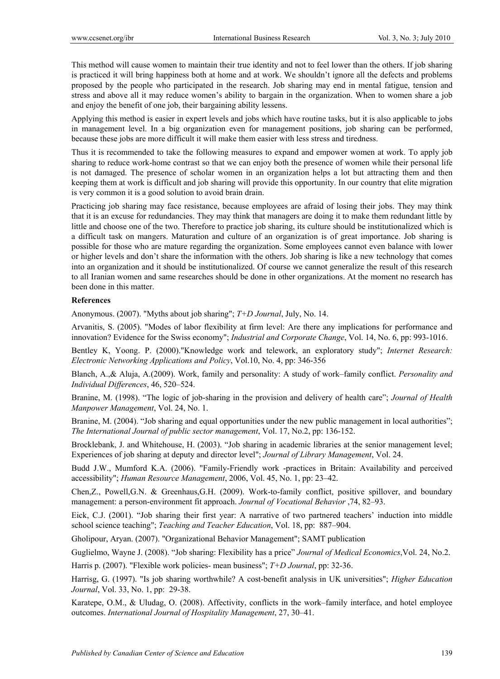This method will cause women to maintain their true identity and not to feel lower than the others. If job sharing is practiced it will bring happiness both at home and at work. We shouldn't ignore all the defects and problems proposed by the people who participated in the research. Job sharing may end in mental fatigue, tension and stress and above all it may reduce women's ability to bargain in the organization. When to women share a job and enjoy the benefit of one job, their bargaining ability lessens.

Applying this method is easier in expert levels and jobs which have routine tasks, but it is also applicable to jobs in management level. In a big organization even for management positions, job sharing can be performed, because these jobs are more difficult it will make them easier with less stress and tiredness.

Thus it is recommended to take the following measures to expand and empower women at work. To apply job sharing to reduce work-home contrast so that we can enjoy both the presence of women while their personal life is not damaged. The presence of scholar women in an organization helps a lot but attracting them and then keeping them at work is difficult and job sharing will provide this opportunity. In our country that elite migration is very common it is a good solution to avoid brain drain.

Practicing job sharing may face resistance, because employees are afraid of losing their jobs. They may think that it is an excuse for redundancies. They may think that managers are doing it to make them redundant little by little and choose one of the two. Therefore to practice job sharing, its culture should be institutionalized which is a difficult task on mangers. Maturation and culture of an organization is of great importance. Job sharing is possible for those who are mature regarding the organization. Some employees cannot even balance with lower or higher levels and don't share the information with the others. Job sharing is like a new technology that comes into an organization and it should be institutionalized. Of course we cannot generalize the result of this research to all Iranian women and same researches should be done in other organizations. At the moment no research has been done in this matter.

#### **References**

Anonymous. (2007). "Myths about job sharing"; *T+D Journal*, July, No. 14.

Arvanitis, S. (2005). "Modes of labor flexibility at firm level: Are there any implications for performance and innovation? Evidence for the Swiss economy"; *Industrial and Corporate Change*, Vol. 14, No. 6, pp: 993-1016.

Bentley K, Yoong. P. (2000)."Knowledge work and telework, an exploratory study"; *Internet Research: Electronic Networking Applications and Policy*, Vol.10, No. 4, pp: 346-356

Blanch, A.,& Aluja, A.(2009). Work, family and personality: A study of work–family conflict. *Personality and Individual Differences*, 46, 520–524.

Branine, M. (1998). "The logic of job-sharing in the provision and delivery of health care"; *Journal of Health Manpower Management*, Vol. 24, No. 1.

Branine, M. (2004). "Job sharing and equal opportunities under the new public management in local authorities"; *The International Journal of public sector management*, Vol. 17, No.2, pp: 136-152.

Brocklebank, J. and Whitehouse, H. (2003). "Job sharing in academic libraries at the senior management level; Experiences of job sharing at deputy and director level"; *Journal of Library Management*, Vol. 24.

Budd J.W., Mumford K.A. (2006). "Family-Friendly work -practices in Britain: Availability and perceived accessibility"; *Human Resource Management*, 2006, Vol. 45, No. 1, pp: 23–42.

Chen,Z., Powell,G.N. & Greenhaus,G.H. (2009). Work-to-family conflict, positive spillover, and boundary management: a person-environment fit approach. *Journal of Vocational Behavior* ,74, 82–93.

Eick, C.J. (2001). "Job sharing their first year: A narrative of two partnered teachers' induction into middle school science teaching"; *Teaching and Teacher Education*, Vol. 18, pp: 887–904.

Gholipour, Aryan. (2007). "Organizational Behavior Management"; SAMT publication

Guglielmo, Wayne J. (2008). "Job sharing: Flexibility has a price" *Journal of Medical Economics*,Vol. 24, No.2.

Harris p. (2007). "Flexible work policies- mean business"; *T+D Journal*, pp: 32-36.

Harrisg, G. (1997). "Is job sharing worthwhile? A cost-benefit analysis in UK universities"; *Higher Education Journal*, Vol. 33, No. 1, pp: 29-38.

Karatepe, O.M., & Uludag, O. (2008). Affectivity, conflicts in the work–family interface, and hotel employee outcomes. *International Journal of Hospitality Management*, 27, 30–41.